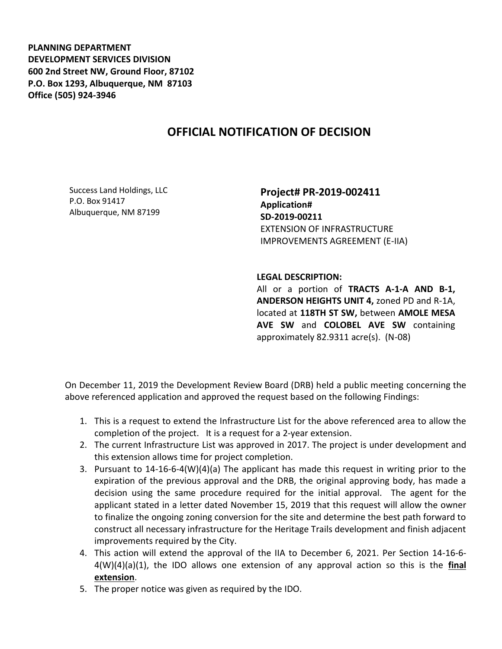**PLANNING DEPARTMENT DEVELOPMENT SERVICES DIVISION 600 2nd Street NW, Ground Floor, 87102 P.O. Box 1293, Albuquerque, NM 87103 Office (505) 924-3946** 

## **OFFICIAL NOTIFICATION OF DECISION**

Success Land Holdings, LLC P.O. Box 91417 Albuquerque, NM 87199

**Project# PR-2019-002411 Application# SD-2019-00211** EXTENSION OF INFRASTRUCTURE IMPROVEMENTS AGREEMENT (E-IIA)

**LEGAL DESCRIPTION:**

All or a portion of **TRACTS A-1-A AND B-1, ANDERSON HEIGHTS UNIT 4,** zoned PD and R-1A, located at **118TH ST SW,** between **AMOLE MESA AVE SW** and **COLOBEL AVE SW** containing approximately 82.9311 acre(s). (N-08)

On December 11, 2019 the Development Review Board (DRB) held a public meeting concerning the above referenced application and approved the request based on the following Findings:

- 1. This is a request to extend the Infrastructure List for the above referenced area to allow the completion of the project. It is a request for a 2-year extension.
- 2. The current Infrastructure List was approved in 2017. The project is under development and this extension allows time for project completion.
- 3. Pursuant to 14-16-6-4(W)(4)(a) The applicant has made this request in writing prior to the expiration of the previous approval and the DRB, the original approving body, has made a decision using the same procedure required for the initial approval. The agent for the applicant stated in a letter dated November 15, 2019 that this request will allow the owner to finalize the ongoing zoning conversion for the site and determine the best path forward to construct all necessary infrastructure for the Heritage Trails development and finish adjacent improvements required by the City.
- 4. This action will extend the approval of the IIA to December 6, 2021. Per Section 14-16-6- 4(W)(4)(a)(1), the IDO allows one extension of any approval action so this is the **final extension**.
- 5. The proper notice was given as required by the IDO.